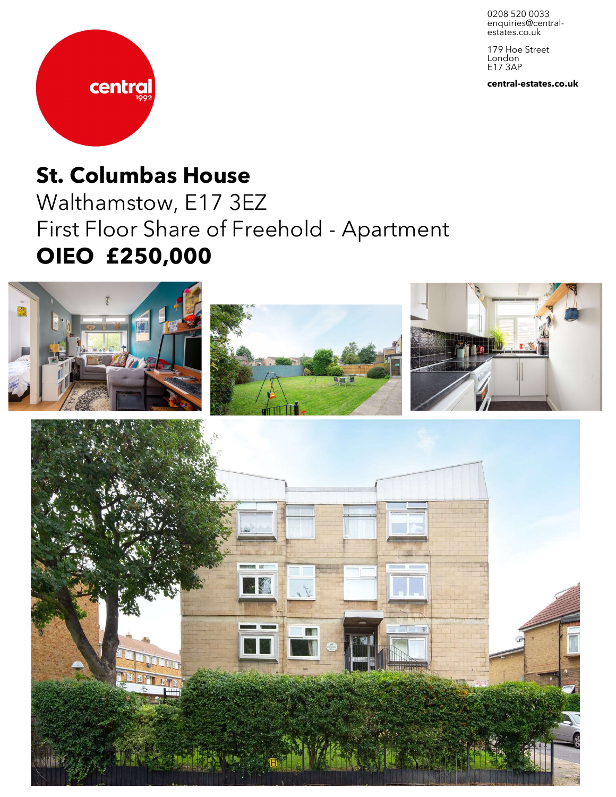0208 520 0033 enquiries@central-<br>estates.co.uk

179 Hoe Street London E17 3AP

**central-estates.co.uk**



# **St. Columbas House**

Walthamstow, E17 3EZ First Floor Share of Freehold - Apartment **OIEO £250,000**